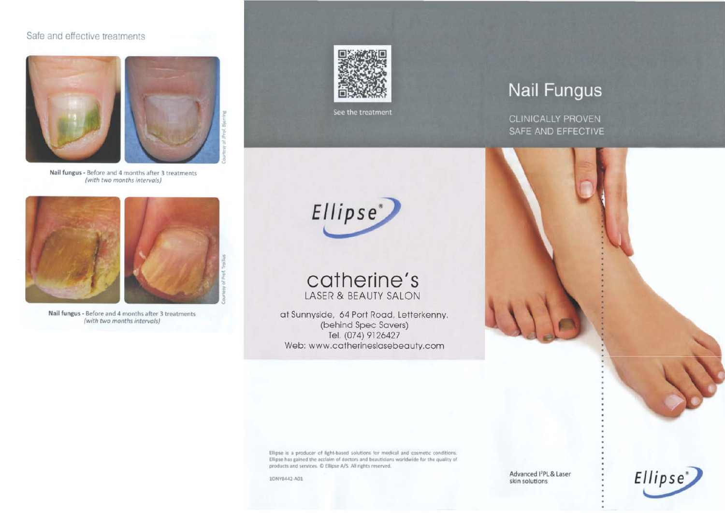### Safe and effective treatments





**Nail fungus** - Before and 4 months after 3 treatments (with two months intervols)



**Nail fungus** - Before and 4 months after 3 treatments (with two months intervals)



See the treatment



## **catherine's** LASER & BEAUTY SALON

at Sunnyside, 64 Port Road, Letterkenny. (behind Spec Savers) Tel. (074) 9126427 Web: www.catherineslasebeauty.com

# **Nail Fungus**

**CLINICALLY PROVEN** SAFE AND EFFECTIVE



Ellipse IS a producer of light-based solutions for medical and cosmetic conditions. Ellipse has gained the acclaim of doctors and beauticians worldwide for the quality of products and services.  $\mathbb O$  Ellipse A/S. All rights reserved.

lONY8442·AOl Advanced <sup>1</sup> 2 PL & Laser skin solutions